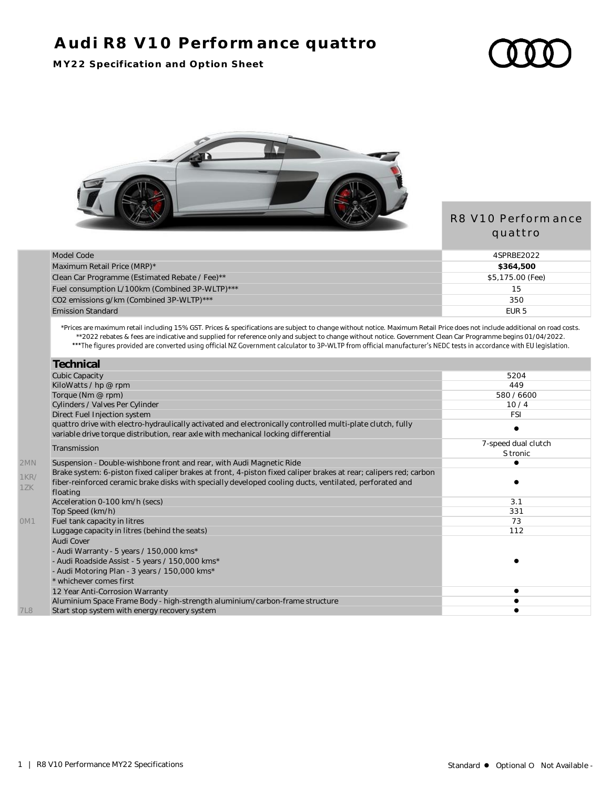# **Audi R8 V10 Performance quattro**

#### **MY22 Specification and Option Sheet**



### R8 V10 Performance quattro

| Model Code                                     | 4SPRBF2022       |
|------------------------------------------------|------------------|
| Maximum Retail Price (MRP)*                    | \$364,500        |
| Clean Car Programme (Estimated Rebate / Fee)** | \$5,175.00 (Fee) |
| Fuel consumption L/100km (Combined 3P-WLTP)*** | 15               |
| CO2 emissions g/km (Combined 3P-WLTP)***       | 350              |
| <b>Emission Standard</b>                       | FUR <sub>5</sub> |

\*Prices are maximum retail including 15% GST. Prices & specifications are subject to change without notice. Maximum Retail Price does not include additional on road costs. \*\*2022 rebates & fees are indicative and supplied for reference only and subject to change without notice. Government Clean Car Programme begins 01/04/2022.

| <b>Technical</b>                                                                                                                                                                                 |                     |
|--------------------------------------------------------------------------------------------------------------------------------------------------------------------------------------------------|---------------------|
| <b>Cubic Capacity</b>                                                                                                                                                                            | 5204                |
| KiloWatts / hp @ rpm                                                                                                                                                                             | 449                 |
| Torque (Nm @ rpm)                                                                                                                                                                                | 580 / 6600          |
| Cylinders / Valves Per Cylinder                                                                                                                                                                  | 10/4                |
| Direct Fuel Injection system                                                                                                                                                                     | <b>FSI</b>          |
| quattro drive with electro-hydraulically activated and electronically controlled multi-plate clutch, fully<br>variable drive torque distribution, rear axle with mechanical locking differential |                     |
| Transmission                                                                                                                                                                                     | 7-speed dual clutch |
|                                                                                                                                                                                                  | S tronic            |
| Suspension - Double-wishbone front and rear, with Audi Magnetic Ride                                                                                                                             |                     |
| Brake system: 6-piston fixed caliper brakes at front, 4-piston fixed caliper brakes at rear; calipers red; carbon                                                                                |                     |
| fiber-reinforced ceramic brake disks with specially developed cooling ducts, ventilated, perforated and                                                                                          |                     |
| floating                                                                                                                                                                                         |                     |
| Acceleration 0-100 km/h (secs)                                                                                                                                                                   | 3.1                 |
| Top Speed (km/h)                                                                                                                                                                                 | 331                 |
| Fuel tank capacity in litres                                                                                                                                                                     | 73                  |
| Luggage capacity in litres (behind the seats)                                                                                                                                                    | 112                 |
| Audi Cover                                                                                                                                                                                       |                     |
| - Audi Warranty - 5 years / 150,000 kms*                                                                                                                                                         |                     |
| - Audi Roadside Assist - 5 years / 150,000 kms*                                                                                                                                                  |                     |
| - Audi Motoring Plan - 3 years / 150,000 kms*                                                                                                                                                    |                     |
| * whichever comes first                                                                                                                                                                          |                     |
| 12 Year Anti-Corrosion Warranty                                                                                                                                                                  |                     |
| Aluminium Space Frame Body - high-strength aluminium/carbon-frame structure                                                                                                                      |                     |
| Start stop system with energy recovery system                                                                                                                                                    |                     |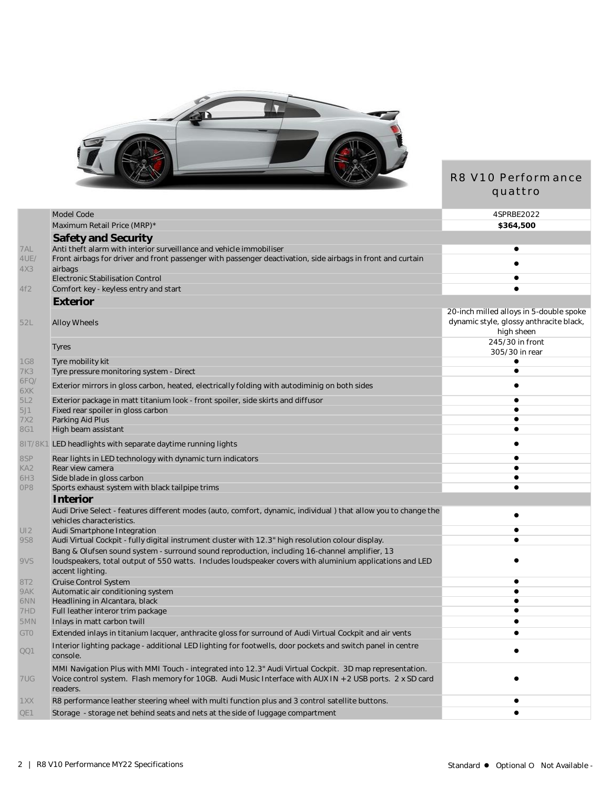

## R8 V10 Performance quattro

|                        | Model Code                                                                                                                                                                                                                      | 4SPRBE2022                                                                                       |
|------------------------|---------------------------------------------------------------------------------------------------------------------------------------------------------------------------------------------------------------------------------|--------------------------------------------------------------------------------------------------|
|                        | Maximum Retail Price (MRP)*                                                                                                                                                                                                     | \$364,500                                                                                        |
|                        | Safety and Security                                                                                                                                                                                                             |                                                                                                  |
| 7AL                    | Anti theft alarm with interior surveillance and vehicle immobiliser                                                                                                                                                             |                                                                                                  |
| 4UE/                   | Front airbags for driver and front passenger with passenger deactivation, side airbags in front and curtain                                                                                                                     |                                                                                                  |
| 4X3                    | airbags                                                                                                                                                                                                                         |                                                                                                  |
|                        | Electronic Stabilisation Control                                                                                                                                                                                                |                                                                                                  |
| 4f2                    | Comfort key - keyless entry and start                                                                                                                                                                                           |                                                                                                  |
|                        | Exterior                                                                                                                                                                                                                        |                                                                                                  |
| 52L                    | <b>Alloy Wheels</b>                                                                                                                                                                                                             | 20-inch milled alloys in 5-double spoke<br>dynamic style, glossy anthracite black,<br>high sheen |
|                        | <b>Tyres</b>                                                                                                                                                                                                                    | 245/30 in front<br>305/30 in rear                                                                |
| <b>1G8</b>             | Tyre mobility kit                                                                                                                                                                                                               |                                                                                                  |
| 7K3                    | Tyre pressure monitoring system - Direct                                                                                                                                                                                        | $\bullet$                                                                                        |
| 6FQ/<br>6XK            | Exterior mirrors in gloss carbon, heated, electrically folding with autodiminig on both sides                                                                                                                                   |                                                                                                  |
| 5L2                    | Exterior package in matt titanium look - front spoiler, side skirts and diffusor                                                                                                                                                | $\bullet$                                                                                        |
| 5J1                    | Fixed rear spoiler in gloss carbon                                                                                                                                                                                              |                                                                                                  |
| 7X2                    | Parking Aid Plus                                                                                                                                                                                                                | $\bullet$                                                                                        |
| <b>8G1</b>             | High beam assistant                                                                                                                                                                                                             |                                                                                                  |
|                        | 81T/8K1 LED headlights with separate daytime running lights                                                                                                                                                                     |                                                                                                  |
| 8SP                    | Rear lights in LED technology with dynamic turn indicators                                                                                                                                                                      | $\bullet$                                                                                        |
| KA <sub>2</sub><br>6H3 | Rear view camera<br>Side blade in gloss carbon                                                                                                                                                                                  |                                                                                                  |
| OP8                    | Sports exhaust system with black tailpipe trims                                                                                                                                                                                 | ٠                                                                                                |
|                        | Interior                                                                                                                                                                                                                        |                                                                                                  |
|                        | Audi Drive Select - features different modes (auto, comfort, dynamic, individual) that allow you to change the<br>vehicles characteristics.                                                                                     |                                                                                                  |
| UI2                    | Audi Smartphone Integration                                                                                                                                                                                                     | $\bullet$                                                                                        |
| <b>9S8</b>             | Audi Virtual Cockpit - fully digital instrument cluster with 12.3" high resolution colour display.                                                                                                                              |                                                                                                  |
| 9VS                    | Bang & Olufsen sound system - surround sound reproduction, including 16-channel amplifier, 13<br>loudspeakers, total output of 550 watts. Includes loudspeaker covers with aluminium applications and LED                       |                                                                                                  |
|                        | accent lighting.                                                                                                                                                                                                                |                                                                                                  |
| 8T <sub>2</sub>        | Cruise Control System                                                                                                                                                                                                           |                                                                                                  |
| 9AK<br>6NN             | Automatic air conditioning system<br>Headlining in Alcantara, black                                                                                                                                                             | $\bullet$                                                                                        |
| 7HD                    | Full leather interor trim package                                                                                                                                                                                               |                                                                                                  |
| 5MN                    | Inlays in matt carbon twill                                                                                                                                                                                                     | ٠                                                                                                |
| <b>GTO</b>             | Extended inlays in titanium lacquer, anthracite gloss for surround of Audi Virtual Cockpit and air vents                                                                                                                        |                                                                                                  |
|                        | Interior lighting package - additional LED lighting for footwells, door pockets and switch panel in centre                                                                                                                      |                                                                                                  |
| QQ1                    | console.                                                                                                                                                                                                                        |                                                                                                  |
| 7UG                    | MMI Navigation Plus with MMI Touch - integrated into 12.3" Audi Virtual Cockpit. 3D map representation.<br>Voice control system. Flash memory for 10GB. Audi Music Interface with AUX IN + 2 USB ports. 2 x SD card<br>readers. |                                                                                                  |
| 1XX                    | R8 performance leather steering wheel with multi function plus and 3 control satellite buttons.                                                                                                                                 |                                                                                                  |
| QE1                    | Storage - storage net behind seats and nets at the side of luggage compartment                                                                                                                                                  |                                                                                                  |